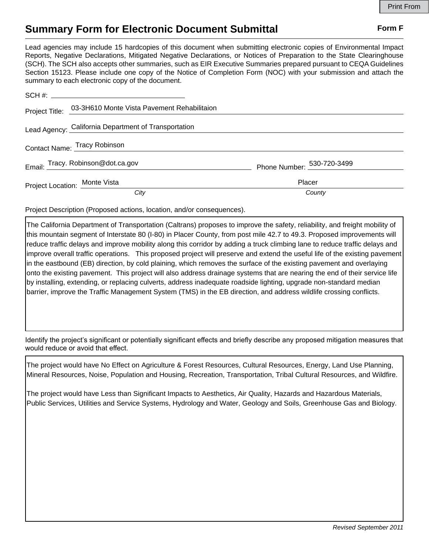## **Summary Form for Electronic Document Submittal Form F Form F**

Lead agencies may include 15 hardcopies of this document when submitting electronic copies of Environmental Impact Reports, Negative Declarations, Mitigated Negative Declarations, or Notices of Preparation to the State Clearinghouse (SCH). The SCH also accepts other summaries, such as EIR Executive Summaries prepared pursuant to CEQA Guidelines Section 15123. Please include one copy of the Notice of Completion Form (NOC) with your submission and attach the summary to each electronic copy of the document.

|                               | Project Title: 03-3H610 Monte Vista Pavement Rehabilitaion |                                        |
|-------------------------------|------------------------------------------------------------|----------------------------------------|
|                               | Lead Agency: California Department of Transportation       |                                        |
| Contact Name: Tracy Robinson  |                                                            |                                        |
|                               | Email: Tracy. Robinson@dot.ca.gov                          | Phone Number: $\frac{530-720-3499}{2}$ |
| Project Location: Monte Vista |                                                            | Placer                                 |
|                               | City                                                       | County                                 |

Project Description (Proposed actions, location, and/or consequences).

The California Department of Transportation (Caltrans) proposes to improve the safety, reliability, and freight mobility of this mountain segment of Interstate 80 (I-80) in Placer County, from post mile 42.7 to 49.3. Proposed improvements will reduce traffic delays and improve mobility along this corridor by adding a truck climbing lane to reduce traffic delays and improve overall traffic operations. This proposed project will preserve and extend the useful life of the existing pavement in the eastbound (EB) direction, by cold plaining, which removes the surface of the existing pavement and overlaying onto the existing pavement. This project will also address drainage systems that are nearing the end of their service life by installing, extending, or replacing culverts, address inadequate roadside lighting, upgrade non-standard median barrier, improve the Traffic Management System (TMS) in the EB direction, and address wildlife crossing conflicts.

Identify the project's significant or potentially significant effects and briefly describe any proposed mitigation measures that would reduce or avoid that effect.

The project would have No Effect on Agriculture & Forest Resources, Cultural Resources, Energy, Land Use Planning, Mineral Resources, Noise, Population and Housing, Recreation, Transportation, Tribal Cultural Resources, and Wildfire.

The project would have Less than Significant Impacts to Aesthetics, Air Quality, Hazards and Hazardous Materials, Public Services, Utilities and Service Systems, Hydrology and Water, Geology and Soils, Greenhouse Gas and Biology.